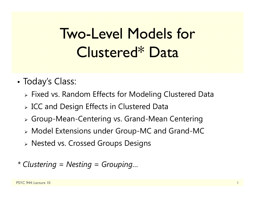# Two-Level Models for Clustered\* Data

- • Today's Class:
	- Fixed vs. Random Effects for Modeling Clustered Data
	- $\triangleright$  ICC and Design Effects in Clustered Data
	- Group-Mean-Centering vs. Grand-Mean Centering
	- Model Extensions under Group-MC and Grand-MC
	- Nested vs. Crossed Groups Designs
- *\* Clustering = Nesting = Grouping…*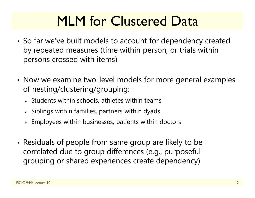## MLM for Clustered Data

- • So far we've built models to account for dependency created by repeated measures (time within person, or trials within persons crossed with items)
- • Now we examine two-level models for more general examples of nesting/clustering/grouping:
	- $\triangleright$  Students within schools, athletes within teams
	- $\triangleright$  Siblings within families, partners within dyads
	- $\triangleright$  Employees within businesses, patients within doctors
- • Residuals of people from same group are likely to be correlated due to group differences (e.g., purposeful grouping or shared experiences create dependency)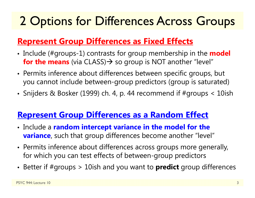### 2 Options for Differences Across Groups

### **Represent Group Differences as Fixed Effects**

- Include (#groups-1) contrasts for group membership in the **model for the means** (via CLASS) $\rightarrow$  so group is NOT another "level"
- Permits inference about differences between specific groups, but you cannot include between-group predictors (group is saturated)
- Snijders & Bosker (1999) ch. 4, p. 44 recommend if #groups < 10ish

### **Represent Group Differences as a Random Effect**

- Include a **random intercept variance in the model for the variance**, such that group differences become another "level"
- Permits inference about differences across groups more generally, for which you can test effects of between-group predictors
- Better if #groups > 10ish and you want to **predict** group differences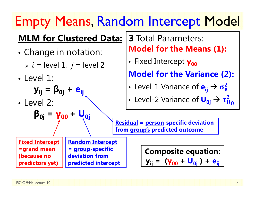## Empty Means, Random Intercept Model

### **MLM for Clustered Data:**

- • Change in notation:
	- *i* = level 1, *j* = level 2
- Level 1:

$$
\mathbf{y}_{ij} = \mathbf{\beta}_{0j} + \mathbf{e}_{ij}
$$

• Level 2:

$$
\beta_{0j} = \gamma_{00} + U_{0j}
$$

**Fixed Intercept =grand mean (because no predictors yet)** 

**Random Intercept = group-specific deviation from predicted intercept**

### **3** Total Parameters: **Model for the Means (1):**

• Fixed Intercept **γ<sub>οο</sub>** 

**Model for the Variance (2):**

•• Level-1 Variance of  ${\bf e}_{\mathsf{i}\mathsf{j}} \to \sigma_{\rm e}^2$ 

• Level-2 Variance of 
$$
U_{0j} \rightarrow \tau_{U_0}^2
$$

**Residual = person-specific deviation from group's predicted outcome** 

> **Composite equation: y**<sub>ij</sub> = (**γ**<sub>00</sub> + U<sub>0i</sub>) + e<sub>ii</sub>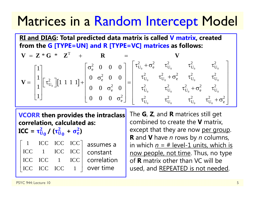### Matrices in a Random Intercept Model

**RI and DIAG: Total predicted data matrix is called V matrix, created from the G [TYPE=UN] and R [TYPE=VC] matrices as follows:**

$$
\mathbf{V} = \mathbf{Z} * \mathbf{G} * \mathbf{Z}^{T} + \mathbf{R} = \mathbf{V}
$$
  
\n
$$
\mathbf{V} = \begin{bmatrix} 1 \\ 1 \\ 1 \\ 1 \end{bmatrix} \begin{bmatrix} \tau_{U_{0}}^{2} \end{bmatrix} [1 \ 1 \ 1 \ 1] + \begin{bmatrix} \sigma_{e}^{2} & 0 & 0 & 0 \\ 0 & \sigma_{e}^{2} & 0 & 0 \\ 0 & 0 & \sigma_{e}^{2} & 0 \\ 0 & 0 & 0 & \sigma_{e}^{2} \end{bmatrix} = \begin{bmatrix} \tau_{U_{0}}^{2} + \sigma_{e}^{2} & \tau_{U_{0}}^{2} & \tau_{U_{0}}^{2} & \tau_{U_{0}}^{2} \\ \tau_{U_{0}}^{2} & \tau_{U_{0}}^{2} + \sigma_{e}^{2} & \tau_{U_{0}}^{2} & \tau_{U_{0}}^{2} \\ \tau_{U_{0}}^{2} & \tau_{U_{0}}^{2} & \tau_{U_{0}}^{2} & \tau_{U_{0}}^{2} \\ \tau_{U_{0}}^{2} & \tau_{U_{0}}^{2} & \tau_{U_{0}}^{2} & \tau_{U_{0}}^{2} + \sigma_{e}^{2} \end{bmatrix}
$$

**VCORR then provides the intraclass correlation, calculated as:** 

 $\mathbf{ICC} = \mathbf{\tau}^2_{\mathbf{U}}$  $\frac{2}{\mathsf{U}_\mathsf{0}}$  /  $(\tau_\mathsf{U}^2$  $\frac{2}{\mathsf{U}_\mathbf{0}}$  $+$   $\sigma_{e}^{2}$  $\frac{2}{e}$ 

| $\mathbf{1}$ |                                                                          |     | $\text{ICC } \text{ICC } \text{ICC}$ assumes a |
|--------------|--------------------------------------------------------------------------|-----|------------------------------------------------|
|              | ICC 1 ICC ICC                                                            |     | constant                                       |
|              | ICC ICC 1                                                                | ICC | correlation                                    |
|              | $\begin{bmatrix} \text{ICC} & \text{ICC} & \text{ICC} & 1 \end{bmatrix}$ |     | over time                                      |

The **G**, **Z**, and **R** matrices still get combined to create the **V** matrix, except that they are now per group. **R** and **V** have *n* rows by *n* columns, in which *n* = # level-1 units, which is now people, not time. Thus, no type of **R** matrix other than VC will be used, and REPEATED is not needed.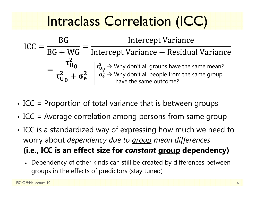## Intraclass Correlation (ICC)

$$
ICC = \frac{BG}{BG + WG} = \frac{Intercept Variance}{Intercept Variance + Residual Variance}
$$

$$
= \frac{\tau_{U_0}^2}{\tau_{U_0}^2 + \sigma_e^2} \quad \begin{bmatrix} \tau_{U_0}^2 \to Why \text{ don't all groups have the same mean?} \\ \sigma_e^2 \to Why \text{ don't all people from the same group} \\ \text{have the same outcome?} \end{bmatrix}
$$

- •• ICC = Proportion of total variance that is between groups
- •• ICC = Average correlation among persons from same group
- • ICC is a standardized way of expressing how much we need to worry about *dependency due to group mean differences* **(i.e., ICC is an effect size for** *constant* **group dependency)**
	- $\triangleright$  Dependency of other kinds can still be created by differences between groups in the effects of predictors (stay tuned)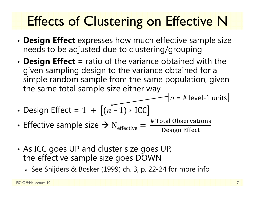# Effects of Clustering on Effective N

- • **Design Effect** expresses how much effective sample size needs to be adjusted due to clustering/grouping
- • **Design Effect** = ratio of the variance obtained with the given sampling design to the variance obtained for a simple random sample from the same population, given the same total sample size either way

• Design Effect = 
$$
1 + [(n-1) * ICC]
$$

- •• Effective sample size  $\rightarrow$  N<sub>effective</sub> # Total Observations<br>Design Effect
- • As ICC goes UP and cluster size goes UP, the effective sample size goes DOWN
	- See Snijders & Bosker (1999) ch. 3, p. 22-24 for more info

*n* = # level-1 units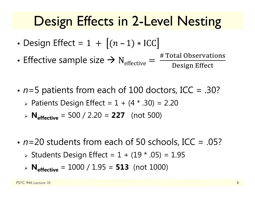### Design Effects in 2-Level Nesting

- •Design Effect =
- •• Effective sample size  $\rightarrow$  N<sub>effective</sub>

 $\epsilon_{\rm e} = \frac{\text{\# Total Observations}}{\text{Design Effect}}$ 

- *<sup>n</sup>*=5 patients from each of 100 doctors, ICC = .30? Patients Design Effect = 1 + (4 \* .30) = 2.20
	- **Neffective** = 500 / 2.20 = **227** (not 500)
- *n*=20 students from each of 50 schools, ICC = .05?
	- Students Design Effect = 1 + (19 \* .05) = 1.95
	- **Neffective** = 1000 / 1.95 = **513** (not 1000)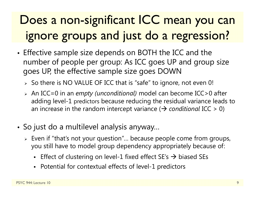### Does a non-significant ICC mean you can ignore groups and just do a regression?

- • Effective sample size depends on BOTH the ICC and the number of people per group: As ICC goes UP and group size goes UP, the effective sample size goes DOWN
	- $\triangleright\;$  So there is NO VALUE OF ICC that is "safe" to ignore, not even 0!
	- An ICC=0 in an *empty (unconditional)* model can become ICC>0 after adding level-1 predictors because reducing the residual variance leads to an increase in the random intercept variance ( *conditional* ICC > 0)
- So just do a multilevel analysis anyway…
	- $\triangleright\;$  Even if "that's not your question"… because people come from groups, you still have to model group dependency appropriately because of:
		- Effect of clustering on level-1 fixed effect SE's  $\rightarrow$  biased SEs
		- Potential for contextual effects of level-1 predictors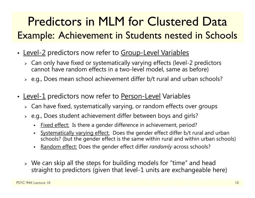### Predictors in MLM for Clustered Data Example: Achievement in Students nested in Schools

- Level-2 predictors now refer to Group-Level Variables
	- Can only have fixed or systematically varying effects (level-2 predictors cannot have random effects in a two-level model, same as before)
	- $\triangleright$  e.g., Does mean school achievement differ b/t rural and urban schools?
- Level-1 predictors now refer to <u>Person-Level</u> Variables
	- $\triangleright\;$  Can have fixed, systematically varying, or random effects over groups
	- $\triangleright$  e.g., Does student achievement differ between boys and girls?
		- n Fixed effect: Is there a gender difference in achievement, period?
		- n Systematically varying effect: Does the gender effect differ b/t rural and urban schools? (but the gender effect is the same within rural and within urban schools)
		- n Random effect: Does the gender effect differ *randomly* across schools?
	- $\triangleright$  We can skip all the steps for building models for "time" and head straight to predictors (given that level-1 units are exchangeable here)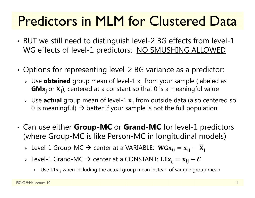## Predictors in MLM for Clustered Data

- • BUT we still need to distinguish level-2 BG effects from level-1 WG effects of level-1 predictors: NO SMUSHING ALLOWED
- • Options for representing level-2 BG variance as a predictor:
	- » Use **obtained** group mean of level-1  $x_{ij}$  from your sample (labeled as  $\mathbf{G}\mathbf{M}\mathbf{x}_\mathbf{j}$  or  $\overline{\mathbf{X}}_\mathbf{j}$ ), centered at a constant so that 0 is a meaningful value
	- » Use **actual** group mean of level-1  $\mathrm{x_{ij}}$  from outside data (also centered so 0 is meaningful)  $\bm{\rightarrow}$  better if your sample is not the full population
- • Can use either **Group-MC** or **Grand-MC** for level-1 predictors (where Group-MC is like Person-MC in longitudinal models)

> Level-1 Group-MC  $\rightarrow$  center at a VARIABLE:  $\text{WGx}_{ij} = x_{ij} - \overline{X}_{ji}$ 

- > Level-1 Grand-MC  $\rightarrow$  center at a CONSTANT:  $\text{L1x}_{ij} = \text{x}_{ij} C$ 
	- Use  $\mathtt{L1x_{ij}}$  when including the actual group mean instead of sample group mean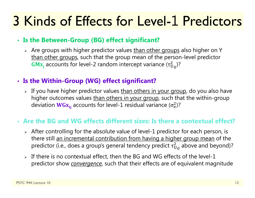#### • **Is the Between-Group (BG) effect significant?**

 $\triangleright$  Are groups with higher predictor values <u>than other groups</u> also higher on Y than other groups, such that the group mean of the person-level predictor  $\mathbf{G}\mathbf{M}{\mathbf{x}_{\mathsf{j}}}$  accounts for level-2 random intercept variance ( $\tau_\mathrm{U}^2$  $_{U_0}^2$ )?

#### • **Is the Within-Group (WG) effect significant?**

> If you have higher predictor values <u>than others in your group</u>, do you also have higher outcomes values than others in your group, such that the within-group deviation  $\textsf{WGx}_{\text{ij}}$  accounts for level-1 residual variance ( $\sigma^2_{\text{e}}$ )?

#### • **Are the BG and WG effects different sizes: Is there a contextual effect?**

- $\triangleright$  After controlling for the absolute value of level-1 predictor for each person, is there still an incremental contribution from having a higher group mean of the predictor (i.e., does a group's general tendency predict  $\tau_\mathrm{U}^2$  $^2_{\mathrm{U}_0}$  above and beyond)?
- $\triangleright$  If there is no contextual effect, then the BG and WG effects of the level-1 predictor show *convergence*, such that their effects are of equivalent magnitude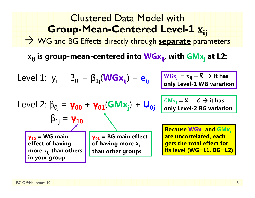| Clustering                                                            | Clustering                                                                                                                                                                                 |
|-----------------------------------------------------------------------|--------------------------------------------------------------------------------------------------------------------------------------------------------------------------------------------|
| <b>Group-Mean-Centered Level-1</b>                                    |                                                                                                                                                                                            |
| $\rightarrow$ WG and BG Effects directly through separate parameters  |                                                                                                                                                                                            |
| $x_{ij}$ is group-mean-centered into $WGx_{ij}$ , with $GMx_j$ at L2: |                                                                                                                                                                                            |
| Level 1: $y_{ij} = \beta_{0j} + \beta_{1j}(WGx_{ij}) + e_{ij}$        | $WGx_{ij} = x_{ij} - \overline{x}_j \rightarrow it$ has only Level-1 WG variation                                                                                                          |
| Level 2: $\beta_{0j} = \gamma_{00} + \gamma_{01}(GMx_j) + U_{0j}$     | $GMx_j = \overline{x}_j - c \rightarrow it$ has only Level-2 BG variation                                                                                                                  |
| $\beta_{1j} = \gamma_{10}$                                            | $\gamma_{01} = BG$ main effect of having more $\overline{x}_j$ of having more $\overline{x}_j$ and $GMx_j$ are uncorrelated, each of having more $\overline{x}_j$ that often in your group |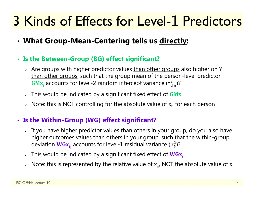- **What Group-Mean-Centering tells us directly:**
- **Is the Between-Group (BG) effect significant?**
	- $\triangleright$  Are groups with higher predictor values <u>than other groups</u> also higher on Y than other groups, such that the group mean of the person-level predictor  $\mathbf{G}\mathbf{M}{\mathbf{x}_{\mathsf{j}}}$  accounts for level-2 random intercept variance ( $\tau_\mathrm{U}^2$  $_{U_0}^2$ )?
	- $\triangleright$  This would be indicated by a significant fixed effect of  $\mathbf{G}\mathbf{M}\mathbf{x}_\mathrm{j}$
	- $\triangleright$   $\,$  Note: this is NOT controlling for the absolute value of  $\rm x_{ij}$  for each person

#### • **Is the Within-Group (WG) effect significant?**

- > If you have higher predictor values <u>than others in your group</u>, do you also have higher outcomes values than others in your group, such that the within-group deviation  $\textsf{WGx}_{\text{ij}}$  accounts for level-1 residual variance ( $\sigma^2_{\text{e}}$ )?
- $\triangleright$  This would be indicated by a significant fixed effect of  $\mathbf{W} \mathbf{G} \mathbf{x}_{\mathbf{ij}}$
- $\triangleright$   $\,$  Note: this is represented by the <u>relative</u> value of  $\rm x_{ij}$ , NOT the <u>absolute</u> value of  $\rm x_{ij}$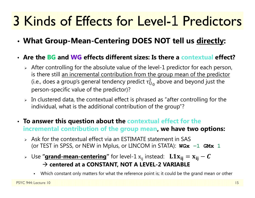• **What Group-Mean-Centering DOES NOT tell us directly:**

#### • **Are the BG and WG effects different sizes: Is there a contextual effect?**

- $\triangleright$  After controlling for the absolute value of the level-1 predictor for each person, is there still an incremental contribution from the group mean of the predictor (i.e., does a group's general tendency predict  $\tau^2_{\mathrm{U}}$  $^2_{\mathrm{U}_0}$  above and beyond just the person-specific value of the predictor)?
- $\triangleright$  In clustered data, the contextual effect is phrased as "after controlling for the individual, what is the additional contribution of the group"?

#### • **To answer this question about the contextual effect for the incremental contribution of the group mean, we have two options:**

- $\triangleright$  Ask for the contextual effect via an ESTIMATE statement in SAS (or TEST in SPSS, or NEW in Mplus, or LINCOM in STATA): **WGx − 1 GMx 1**
- $\triangleright$  Use "**grand-mean-centering**" for level-1  $\mathrm{x_{ij}}$  instead:  $\mathbf{L1x_{ij}} = \mathrm{x_{ij}} C$  **centered at a CONSTANT, NOT A LEVEL-2 VARIABLE**
	- Which constant only matters for what the reference point is; it could be the grand mean or other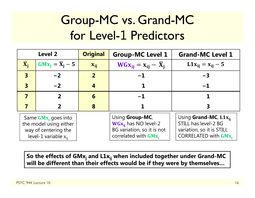### Group-MC vs. Grand-MC for Level-1 Predictors

| <b>Level 2</b>                                                                                        |                              | <b>Original</b> | <b>Group-MC Level 1</b>                                                                               | <b>Grand-MC Level 1</b>                                                                                                |
|-------------------------------------------------------------------------------------------------------|------------------------------|-----------------|-------------------------------------------------------------------------------------------------------|------------------------------------------------------------------------------------------------------------------------|
| $\overline{\mathbf{X}}_i$                                                                             | $GMx_i = \overline{X}_i - 5$ | $X_{ij}$        | $WGx_{ij} = x_{ij} - \overline{X}_i$                                                                  | $L1x_{ij} = x_{ij} - 5$                                                                                                |
| $\overline{\mathbf{3}}$                                                                               | $-2$                         | 2 <sup>1</sup>  | $-1$                                                                                                  | $-3$                                                                                                                   |
| $\overline{\mathbf{3}}$                                                                               | $-2$                         | 4               |                                                                                                       | $-1$                                                                                                                   |
|                                                                                                       |                              | 6               | $-1$                                                                                                  |                                                                                                                        |
|                                                                                                       |                              | 8               |                                                                                                       |                                                                                                                        |
| Same $GMx_i$ goes into<br>the model using either<br>way of centering the<br>level-1 variable $x_{ii}$ |                              |                 | Using Group-MC,<br>$WGx_{ii}$ has NO level-2<br>BG variation, so it is not<br>correlated with $GMx_i$ | Using <b>Grand-MC</b> , $L1x_{ii}$<br>STILL has level-2 BG<br>variation, so it is STILL<br><b>CORRELATED with GMx,</b> |

So the effects of GMx<sub>j</sub> and L1x<sub>ij</sub> when included together under Grand-MC **will be different than their effects would be if they were by themselves…**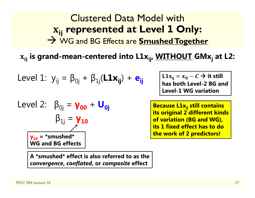Clustered Data Model withܑܒ **represented at Level 1 Only:**  $\rightarrow$  WG and BG Effects are **Smushed Together** 

ܠܑܒ **is grand-mean-centered into L1xij, WITHOUT GMxj at L2:**

Level 1: 
$$
y_{ij} = \beta_{0j} + \beta_{1j}(\mathbf{L} \mathbf{1} \mathbf{x}_{ij}) + \mathbf{e}_{ij}
$$

**A \*smushed\* effect is also referred to as the** 

Level 2: 
$$
\beta_{0j} = \gamma_{00} + U_{0j}
$$

\n $\beta_{1j} = \gamma_{10}$ 

\n $\gamma_{10} = \text{``smushed''}$ 

\nWG and BG effects

 $\text{L1x}_{ij} = \text{x}_{ij} - C \rightarrow \text{it still}$ **has both Level-2 BG and Level-1 WG variation** 

**Because L1x<sub>ij</sub> still contains its original 2 different kinds of variation (BG and WG), its 1 fixed effect has to do the work of 2 predictors!**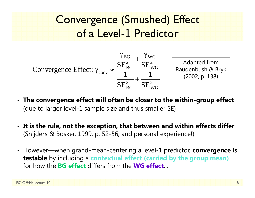### Convergence (Smushed) Effect of a Level-1 Predictor



- **The convergence effect will often be closer to the within-group effect** (due to larger level-1 sample size and thus smaller SE)
- **It is the rule, not the exception, that between and within effects differ** (Snijders & Bosker, 1999, p. 52-56, and personal experience!)
- However—when grand-mean-centering a level-1 predictor, **convergence is testable** by including a **contextual effect (carried by the group mean)**  for how the **BG effect** differs from the **WG effect**…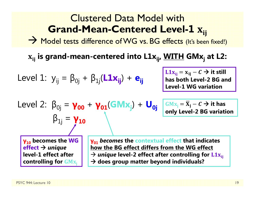#### Clustered Data Model with**Grand-Mean-Centered Level-1**<u>≖ ^ij</u>

 $\rightarrow$  Model tests difference of WG vs. BG effects (It's been fixed!)

ܠܑܒ **is grand-mean-centered into L1xij, WITH GMxj at L2:**

Level 1: 
$$
y_{ij} = \beta_{0j} + \beta_{1j}(\mathbf{L} \mathbf{1} \mathbf{x}_{ij}) + \mathbf{e}_{ij}
$$

 $L1x_{ij} = x_{ij} - C \rightarrow it$  still **has both Level-2 BG and Level-1 WG variation** 

$$
Level 2: \beta_{0j} = \gamma_{00} + \gamma_{01}(GMx_j) + U_{0j}
$$
\n
$$
\beta_{1j} = \gamma_{10}
$$

 $GMx_j = \overline{X}_j - C \rightarrow$  it has **only Level-2 BG variation**

**γ10 becomes the WG effect** *unique* **level-1 effect after controlling for GMx** 

**γ01** *becomes* **the contextual effect that indicates how the BG effect differs from the WG effect**   $\rightarrow$  *unique* level-2 effect after controlling for  $\rm L1x_{ij}$ **does group matter beyond individuals?**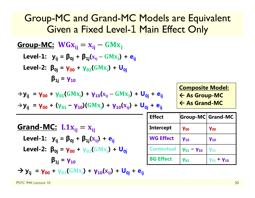### Group-MC and Grand-MC Models are Equivalent Given a Fixed Level-1 Main Effect Only

| Group-MC:                                                                                                       | WGx <sub>ij</sub> = x <sub>ij</sub> - GMx <sub>j</sub>      |
|-----------------------------------------------------------------------------------------------------------------|-------------------------------------------------------------|
| Level-1:                                                                                                        | $y_{ij} = \beta_{0j} + \beta_{1j}(x_{ij} - GMx_j) + e_{ij}$ |
| Level-2:                                                                                                        | $\beta_{0j} = \gamma_{00} + \gamma_{01}(GMx_j) + U_{0j}$    |
| $\beta_{1j} = \gamma_{10}$                                                                                      |                                                             |
| $\rightarrow y_{ij} = \gamma_{00} + \gamma_{01}(GMx_j) + \gamma_{10}(x_{ij} - GMx_j) + U_{0j} + e_{ij}$         |                                                             |
| $\rightarrow y_{ij} = \gamma_{00} + (\gamma_{01} - \gamma_{10})(GMx_j) + \gamma_{10}(x_{ij}) + U_{0j} + e_{ij}$ |                                                             |
| $\rightarrow y_{ij} = \gamma_{00} + (\gamma_{01} - \gamma_{10})(GMx_j) + \gamma_{10}(x_{ij}) + U_{0j} + e_{ij}$ |                                                             |
| Grand-MC:                                                                                                       | $L1x_{ij} = x_{ij}$                                         |
| Level-1:                                                                                                        | $y_{ij} = \beta_{0j} + \beta_{1j}(x_{ij}) + e_{ij}$         |
| Level-2:                                                                                                        | $\beta_{0j} = \gamma_{00} + \gamma_{01}(GMx_j) + U_{0j}$    |
| $\beta_{1j} = \gamma_{10}$                                                                                      |                                                             |
| $\rightarrow y_{ij} = \gamma_{00} + \gamma_{01}(GMx_j) + \gamma_{10}(x_{ij}) + U_{0j} + e_{ij}$                 |                                                             |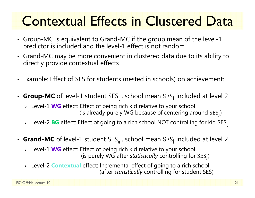## Contextual Effects in Clustered Data

- Group-MC is equivalent to Grand-MC if the group mean of the level-1 predictor is included and the level-1 effect is not random
- Grand-MC may be more convenient in clustered data due to its ability to directly provide contextual effects
- Example: Effect of SES for students (nested in schools) on achievement:
- $\,$  Group-MC of level-1 student SES $_{\rm ij}$ , school mean SES $_{\rm j}$  included at level 2
	- Level-1 **WG** effect: Effect of being rich kid relative to your school (is already purely WG because of centering around  $\overline{\text{SES}}_i$ )
	- > Level-2 **BG** effect: Effect of going to a rich school NOT controlling for kid SES<sub>ij</sub>
- $\,$  Grand-MC of level-1 student SES $_{\rm ij}$  , school mean SES $_{\rm j}$  included at level 2
	- Level-1 **WG** effect: Effect of being rich kid relative to your school (is purely WG after *statistically* controlling for  $\overline{\text{SES}}_i$ )
	- Level-2 **Contextual** effect: Incremental effect of going to a rich school (after *statistically* controlling for student SES)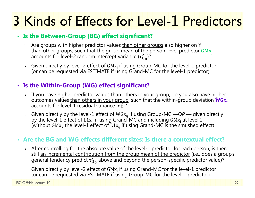#### • **Is the Between-Group (BG) effect significant?**

- > Are groups with higher predictor values <u>than other groups</u> also higher on Y than other groups, such that the group mean of the person-level predictor GMx<sub>i</sub>  $\tau_{\rm U}$  $^2_{\rm U_0}$ )?
- > Given directly by level-2 effect of GM $x_i$  if using Group-MC for the level-1 predictor (or can be requested via ESTIMATE if using Grand-MC for the level-1 predictor)

#### • **Is the Within-Group (WG) effect significant?**

- > If you have higher predictor values <u>than others in your group</u>, do you also have higher outcomes values than others in your group, such that the within-group deviation  $WG_{X_{ii}}$  $\sigma_{\rm e}^2$ )?
- Fiven directly by the level-1 effect of WGx<sub>ij</sub> if using Group-MC —OR given directly<br>by the level-1 effect of L1x<sub>ij</sub> if using Grand-MC and including GMx<sub>j</sub> at level 2<br>(without GMx<sub>j</sub>, the level-1 effect of L1x<sub>ij</sub> if u

#### • **Are the BG and WG effects different sizes: Is there a contextual effect?**

- $\triangleright$  After controlling for the absolute value of the level-1 predictor for each person, is there still an incremental contribution from the group mean of the predictor (i.e., does a group's general tendency predict  $\tau^2_{\mathrm{U}}$  $_{\rm U_0}^2$  above and beyond the person-specific predictor value)?
- > Given directly by level-2 effect of  $GMx_i$  if using Grand-MC for the level-1 predictor (or can be requested via ESTIMATE if using Group-MC for the level-1 predictor)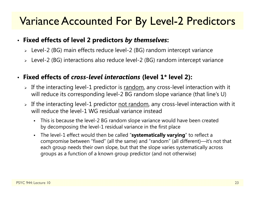### Variance Accounted For By Level-2 Predictors

#### • **Fixed effects of level 2 predictors** *by themselves***:**

- Level-2 (BG) main effects reduce level-2 (BG) random intercept variance
- Level-2 (BG) interactions also reduce level-2 (BG) random intercept variance

#### •**Fixed effects of** *cross-level interactions* **(level 1\* level 2):**

- $\triangleright$  If the interacting level-1 predictor is  $\overline{\text{random}}$ , any cross-level interaction with it will reduce its corresponding level-2 BG random slope variance (that line's U)
- $\triangleright$  If the interacting level-1 predictor <u>not random</u>, any cross-level interaction with it will reduce the level-1 WG residual variance instead
	- This is because the level-2 BG random slope variance would have been created by decomposing the level-1 residual variance in the first place
	- The level-1 effect would then be called "**systematically varying**" to reflect a compromise between "fixed" (all the same) and "random" (all different)—it's not that each group needs their own slope, but that the slope varies systematically across groups as a function of a known group predictor (and not otherwise)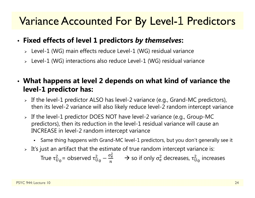### Variance Accounted For By Level-1 Predictors

#### • **Fixed effects of level 1 predictors** *by themselves***:**

- Level-1 (WG) main effects reduce Level-1 (WG) residual variance
- Level-1 (WG) interactions also reduce Level-1 (WG) residual variance

### • **What happens at level 2 depends on what kind of variance the level-1 predictor has:**

- $\triangleright$  If the level-1 predictor ALSO has level-2 variance (e.g., Grand-MC predictors), then its level-2 variance will also likely reduce level-2 random intercept variance
- $\triangleright$  If the level-1 predictor DOES NOT have level-2 variance (e.g., Group-MC predictors), then its reduction in the level-1 residual variance will cause an INCREASE in level-2 random intercept variance
	- Same thing happens with Grand-MC level-1 predictors, but you don't generally see it
- $\triangleright$   $\,$  It's just an artifact that the estimate of true random intercept variance is:

True  $\tau^{\scriptscriptstyle\mathcal{L}}_{\mathsf{U}}$  $^2_\mathrm{U_0}$ = observed τ $^2_\mathrm{U}$ 2<br>Սօ —  $\sigma_{\rm e}$ మ п  $\rightarrow$  so if only  $\sigma_{\rm e}^2$  $_{\rm e}^2$  decreases,  $\tau_{\rm U}^2$  $_{\rm U_{\rm 0}}^{2}$  increases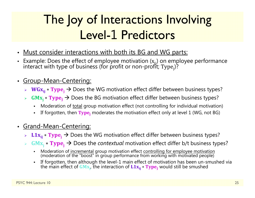### The Joy of Interactions Involving Level-1 Predictors

- •Must consider interactions with both its BG and WG parts:
- •• Example: Does the effect of employee motivation (x<sub>ij</sub>) on employee performance<br>interact with type of business (for profit or non-profit; Type<sub>j</sub>)?
- $\bullet$  Group-Mean-Centering:
	- $\triangleright$   $\mathbf{WGx_{ij}} * \mathbf{Type_j} \rightarrow$  Does the WG motivation effect differ between business types?
	- ⊳ **GMx<sub>i</sub> \* Type<sub>j</sub> →** Does the BG motivation effect differ between business types?
		- Г Moderation of total group motivation effect (not controlling for individual motivation)
		- Г If forgotten, then  $Type_i$  moderates the motivation effect only at level 1 (WG, not BG)
- • Grand-Mean-Centering:
	- $\triangleright$   $\;\mathbf{L1x_{ij}}*\mathbf{Type_{j}}\to\mathsf{Does}$  the WG motivation effect differ between business types?
	- > GMx<sub>j</sub> \* Type<sub>j</sub> → Does the *contextual* motivation effect differ b/t business types?
		- Moderation of incremental group motivation effect controlling for employee motivation (moderation of the "boost" in group performance from working with motivated people)
		- Г If forgotten, then although the level-1 main effect of motivation has been un-smushed via the main effect of  $\mathbf{G}\mathbf{M}\mathbf{x}_{\mathsf{j}}$ , the interaction of  $\mathbf{L}\mathbf{1}\mathbf{x}_{\mathsf{i}\mathsf{j}}* \mathbf{T}\mathbf{y}\mathbf{p}\mathbf{e}_{\mathsf{j}}$  would still be smushed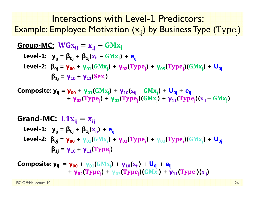Interactions with Level-1 Predictors: Example: Employee Motivation  $\left(\mathrm{x_{ij}}\right)$  by Business Type  $\left(\mathrm{Type}_{\mathrm{j}}\right)$ 

**Group-MC:** 
$$
WGx_{ij} = x_{ij} - GMx_j
$$

\nLevel-1:  $y_{ij} = \beta_{0j} + \beta_{1j}(x_{ij} - GMx_j) + e_{ij}$ 

\nLevel-2:  $\beta_{0j} = \gamma_{00} + \gamma_{01}(GMx_j) + \gamma_{02}(Type_j) + \gamma_{03}(Type_j)(GMx_j) + U_{0j}$ 

\n $\beta_{1j} = \gamma_{10} + \gamma_{11}(Sex_j)$ 

**Composite: y<sub>ij</sub> = γ<sub>00</sub> + γ<sub>01</sub>(GMx<sub>j</sub>) + γ<sub>10</sub>(x<sub>ij</sub> – GMx<sub>j</sub>) + U<sub>0j</sub> + e<sub>ij</sub>** + **γ**<sub>02</sub>(Type<sub>j</sub>) + γ<sub>03</sub>(Type<sub>j</sub>)(GMx<sub>j</sub>) + γ<sub>11</sub>(Type<sub>j</sub>)(x<sub>ij</sub> – GMx<sub>j</sub>)

### ܒܑܠۺ **:MC-Grand** ൌ ܒܑܠ

 ${\sf Level\text{-}1:} \quad {\sf y}_{\sf ij} = {\sf \beta}_{\sf 0j} + {\sf \beta}_{\sf 1j} ({\sf x}_{\sf ij}) + {\sf e}_{\sf ij}$ Level-2:  $\beta_{0j}$  =  $\gamma_{00}$  +  $\gamma_{01}$ (GM $\rm{x_{j}}$ ) +  $\gamma_{02}$ (Type<sub>j</sub>) +  $\gamma_{03}$ (Type<sub>j</sub>)(GM $\rm{x_{j}}$ ) + U<sub>0j</sub>  $\beta_{1j} = \gamma_{10} + \gamma_{11}(\text{Type}_j)$ 

**Composite: y<sub>ij</sub> = γ<sub>00</sub> + γ<sub>01</sub>(GMx<sub>j</sub>) + γ<sub>10</sub>(x<sub>ij</sub>) + U<sub>0j</sub> + e<sub>ij</sub>** + **γ**<sub>02</sub>(Type<sub>j</sub>) + γ<sub>03</sub>(Type<sub>j</sub>)(GMx<sub>j</sub>) + **γ<sub>11</sub>(Type**<sub>j</sub>)(x<sub>ij</sub>)

PSYC 944: Lecture 10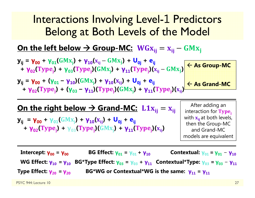### Interactions Involving Level-1 Predictors Belong at Both Levels of the Model

#### **On the left below**  <u>→ Group-MC:</u> WGx<sub>ij</sub> = x<sub>ij</sub> – GMx<sub>j</sub>



### On the right below → Grand-MC: 【1x<sub>ij</sub> = x<sub>ij</sub>

 ${\bf y_{ij}}$  **=**  ${\bf y_{00}}$  +  ${\bf y_{01}}$ (GM ${\bf x_{i}}$ ) +  ${\bf y_{10}}({\bf x_{ij}})$  +  ${\bf U_{0j}}$  +  ${\bf e_{ij}}$ + **γ**<sub>02</sub>(Type<sub>j</sub>) + γ<sub>03</sub>(Type<sub>j</sub>)(GMx<sub>j</sub>) + **γ<sub>11</sub>(Type**<sub>j</sub>)(x<sub>ij</sub>)

After adding an interaction for  $Type_i$ with  $\mathbf{x_{ij}}$ at both levels, then the Group-MC and Grand-MC models are equivalent

**Intercept: γ00 <sup>=</sup> γ00 BG Effect: γ01 = γ01 + γ10Contextual: γ**<sub>01</sub> = **γ**<sub>01</sub> − **γ10 WG Effect: γ10 = γ10 BG\*Type Effect: γ03 <sup>=</sup> γ03 + γ11 Contextual\*Type: γ03 = γ03** − **γ11 Type Effect: γ20= γ20BG\*WG or Contextual\*WG is the same: γ11 <sup>=</sup> γ11**

PSYC 944: Lecture 10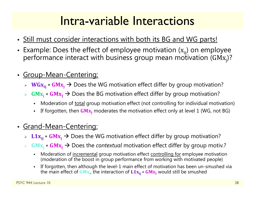### Intra-variable Interactions

- Still must consider interactions with both its BG and WG parts!
- •Example: Does the effect of employee motivation  $(x_{ii})$  on employee performance interact with business group mean motivation (GMx<sub>i</sub>)?
- • Group-Mean-Centering:
	- ܒܑܠ۵܅ ∗ ۵ܒܠۻ Does the WG motivation effect differ by group motivation?
	- $\blacktriangleright$  $GMx_i * GMx_i \rightarrow$  Does the BG motivation effect differ by group motivation?
		- Moderation of total group motivation effect (not controlling for individual motivation)
		- If forgotten, then  $GMx_i$  moderates the motivation effect only at level 1 (WG, not BG)
- Grand-Mean-Centering:
	- ►  $\;$  L1 $\mathbf{x_{ij}}$   $\ast$  GM $\mathbf{x_j}$   $\to$  Does the WG motivation effect differ by group motivation?
	- $\blacktriangleright$  $GMx_i * GMx_i \rightarrow$  Does the *contextual* motivation effect differ by group motiv.?
		- Г Moderation of incremental group motivation effect controlling for employee motivation (moderation of the boost in group performance from working with motivated people)
		- Г If forgotten, then although the level-1 main effect of motivation has been un-smushed via the main effect of  $\mathbf{GMx}_{\mathbf{j}}$ , the interaction of  $\mathbf{L1x}_{\mathbf{ij}} * \mathbf{GMx}_{\mathbf{j}}$  would still be smushed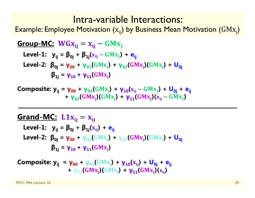### Intra-variable Interactions:

Example: Employee Motivation  $\left(\mathrm{x_{ij}}\right)$  by Business Mean Motivation  $\left(\mathrm{GMx_{j}}\right)$ 

**Group-MC:** 
$$
WGx_{ij} = x_{ij} - GMx_j
$$

\nLevel-1:  $y_{ij} = \beta_{0j} + \beta_{1j}(x_{ij} - GMx_j) + e_{ij}$ 

\nLevel-2:  $\beta_{0j} = \gamma_{00} + \gamma_{01}(GMx_j) + \gamma_{02}(GMx_j)(GMx_j) + U_{0j}$ 

\n $\beta_{1j} = \gamma_{10} + \gamma_{11}(GMx_j)$ 

 ${\bf Composite:}$   ${\bf y_{ij}} = {\bf \gamma_{00}} + {\bf \gamma_{01}} ( {GMx_{j}} ) + {\bf \gamma_{10}} ( x_{ij} - {GMx_{j}} ) + {\bf U_{0j}} + {\bf e_{ij}}$ **+ γ**<sub>02</sub>(GMx<sub>j</sub>)(GMx<sub>j</sub>) + **γ**<sub>11</sub>(GMx<sub>j</sub>)(x<sub>ij</sub> – GMx<sub>j</sub>)

### ܒܑܠۺ **:MC-Grand** ൌ ܒܑܠ

Level-1: 
$$
y_{ij} = \beta_{0j} + \beta_{1j}(x_{ij}) + e_{ij}
$$

\nLevel-2: 
$$
\beta_{0j} = \gamma_{00} + \gamma_{01}(GMx_j) + \gamma_{02}(GMx_j)(GMx_j) + U_{0j}
$$

\n
$$
\beta_{1j} = \gamma_{10} + \gamma_{11}(GMx_j)
$$

**Composite:** 
$$
y_{ij} = \gamma_{00} + \gamma_{01}(GMx_j) + \gamma_{10}(x_{ij}) + U_{0j} + e_{ij}
$$
  
+  $\gamma_{02}(GMx_j)(GMx_j) + \gamma_{11}(GMx_j)(x_{ij})$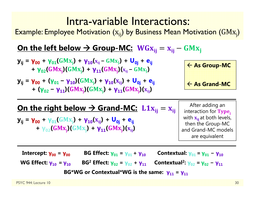### Intra-variable Interactions:

Example: Employee Motivation  $\left(\mathrm{x_{ij}}\right)$  by Business Mean Motivation  $\left(\mathrm{GMx_{j}}\right)$ 

#### **On the left below**  <u>→ Group-MC:</u> WGx<sub>ij</sub> = x<sub>ij</sub> – GMx<sub>j</sub>

- **y**<sub>ij</sub> = **γ**<sub>00</sub> + **γ**<sub>01</sub>(GMx<sub>j</sub>) + **γ**<sub>10</sub>(x<sub>ij</sub> GMx<sub>j</sub>) + U<sub>0j</sub> + e<sub>ij</sub> **+ γ**<sub>02</sub>(GMx<sub>j</sub>)(GMx<sub>j</sub>) + **γ**<sub>11</sub>(GMx<sub>j</sub>)(x<sub>ij</sub> – GMx<sub>j</sub>)
- **y**<sub>ij</sub> = **γ**<sub>00</sub> + (**γ**<sub>01</sub> − **γ**<sub>10</sub>)(GMx<sub>j</sub>) + **γ**<sub>10</sub>(x<sub>ij</sub>) + U<sub>0j</sub> + e<sub>ij</sub> + (**γ**<sub>02</sub> – **γ**<sub>11</sub>)(GMx<sub>j</sub>)(GMx<sub>j</sub>) + **γ**<sub>11</sub>(GMx<sub>j</sub>)(x<sub>ij</sub>)

 **As Group-MC As Grand-MC**

### On the right below → Grand-MC: 【1x<sub>ij</sub> = x<sub>ij</sub>

 ${\bf y_{ij}}$  =  ${\bf y_{00}}$  +  ${\bf y_{01}}$ (GMx<sub>i</sub>) +  ${\bf y_{10}}$ (x<sub>ij</sub>) +  ${\bf U_{0j}}$  +  ${\bf e_{ij}}$ **+ γ**<sub>02</sub>(GMx<sub>j</sub>)(GMx<sub>j</sub>) + **γ**<sub>11</sub>(GMx<sub>j</sub>)(x<sub>ij</sub>)

After adding an interaction for  $Type_i$ with  $\mathbf{x_{ij}}$ at both levels, then the Group-MC and Grand-MC models are equivalent

**Intercept: γ00 <sup>=</sup> γ00 BG Effect: γ01 = γ01 + γ10c** Contextual:  $γ_{01} = γ_{01}$ **− γ10 WG Effect: γ10 = γ10 BG 2 Effect: γ02 <sup>=</sup> γ02 + γ**<sub>11</sub> **Contextual<sup>2</sup>: <b>γ**<sub>02</sub> = **γ**<sub>02</sub> - **γ**<sub>11</sub> **BG\*WG or Contextual\*WG is the same: γ11 <sup>=</sup> γ11**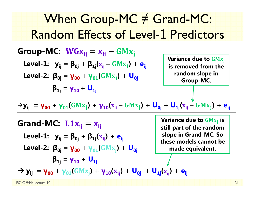| When Group-MC $\neq$ Grand-MC:                                                                                                   |                                              |                                                                       |
|----------------------------------------------------------------------------------------------------------------------------------|----------------------------------------------|-----------------------------------------------------------------------|
| Random Effects of Level-1 Predictors                                                                                             |                                              |                                                                       |
| Group-MC:                                                                                                                        | $WGx_{ij} = x_{ij} - GMx_j$                  |                                                                       |
| Level-1: $y_{ij} = \beta_{0j} + \beta_{1j}(x_{ij} - GMx_j) + e_{ij}$                                                             | Variance due to $GMx_j$                      |                                                                       |
| Level-2: $\beta_{0j} = \gamma_{00} + \gamma_{01}(GMx_j) + U_{0j}$                                                                | Variance of the random slope in $Group-MC$ . |                                                                       |
| $\beta_{1j} = \gamma_{10} + U_{1j}$                                                                                              | Vnorm                                        |                                                                       |
| $\rightarrow y_{ij} = \gamma_{00} + \gamma_{01}(GMx_j) + \gamma_{10}(x_{ij} - GMx_j) + U_{0j} + U_{1j}(x_{ij} - GMx_j) + e_{ij}$ |                                              |                                                                       |
| Grand-MC:                                                                                                                        | L1x <sub>ij</sub> = x <sub>ij</sub>          | Variance due to $GMx_j$ is still part of the random slope in $Grad$ . |
| Level-1: $y_{ij} = \beta_{0j} + \beta_{1j}(x_{ij}) + e_{ij}$                                                                     | Vspace in $Grad$ .                           |                                                                       |
| Level-2: $\beta_{0j} = \gamma_{00} + \gamma_{01}(GMx_j) + U_{0j}$                                                                | where models cannot be made equivalent.      |                                                                       |
| $\beta_{1j} = \gamma_{10} + U_{1j}$                                                                                              | where $\gamma_{0j} = \gamma_{0j} + U_{1j}$   |                                                                       |
| $\rightarrow y_{ij} = \gamma_{00} + \gamma_{01}(GMx_j) + \gamma_{10}(x_{ij}) + U_{0j} + U_{1j}(x_{ij}) + e_{ij}$                 |                                              |                                                                       |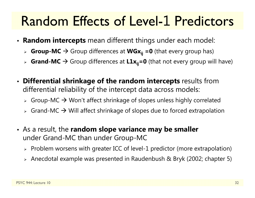### Random Effects of Level-1 Predictors

- **Random intercepts** mean different things under each model:
	- > Croup-MC → Group differences at WGx<sub>ij</sub> =0 (that every group has)
	- > Crand-MC → Group differences at L1x<sub>ij</sub>=0 (that not every group will have)
- **Differential shrinkage of the random intercepts** results from differential reliability of the intercept data across models:
	- $\triangleright$  Group-MC  $\rightarrow$  Won't affect shrinkage of slopes unless highly correlated
	- $\triangleright$  Grand-MC  $\rightarrow$  Will affect shrinkage of slopes due to forced extrapolation
- As a result, the **random slope variance may be smaller** under Grand-MC than under Group-MC
	- $\triangleright$  Problem worsens with greater ICC of level-1 predictor (more extrapolation)
	- Anecdotal example was presented in Raudenbush & Bryk (2002; chapter 5)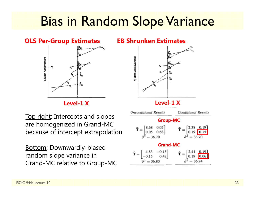### Bias in Random Slope Variance

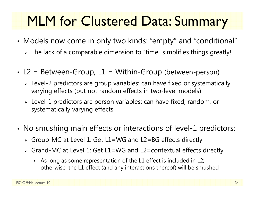## MLM for Clustered Data: Summary

- Models now come in only two kinds: "empty" and "conditional"
	- $\triangleright\;$  The lack of a comparable dimension to "time" simplifies things greatly!
- L2 = Between-Group, L1 = Within-Group (between-person)
	- $\triangleright$  Level-2 predictors are group variables: can have fixed or systematically varying effects (but not random effects in two-level models)
	- $\triangleright$  Level-1 predictors are person variables: can have fixed, random, or systematically varying effects
- • No smushing main effects or interactions of level-1 predictors:
	- Group-MC at Level 1: Get L1=WG and L2=BG effects directly
	- Grand-MC at Level 1: Get L1=WG and L2=contextual effects directly
		- As long as some representation of the L1 effect is included in L2; otherwise, the L1 effect (and any interactions thereof) will be smushed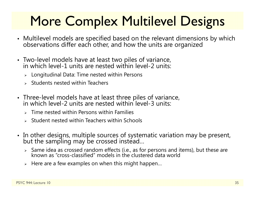# More Complex Multilevel Designs

- Multilevel models are specified based on the relevant dimensions by which<br>observations differ each other, and how the units are organized
- Two-level models have at least two piles of variance, in which level-1 units are nested within level-2 units:
	- $\triangleright$  Longitudinal Data: Time nested within Persons
	- $\triangleright$  Students nested within Teachers
- Three-level models have at least three piles of variance, in which level-2 units are nested within level-3 units:
	- $\triangleright$  Time nested within Persons within Families
	- $\triangleright$  Student nested within Teachers within Schools
- In other designs, multiple sources of systematic variation may be present,<br>but the sampling may be crossed instead…
	- $\triangleright$  Same idea as crossed random effects (i.e., as for persons and items), but these are known as "cross-classified" models in the clustered data world
	- $\triangleright$  Here are a few examples on when this might happen...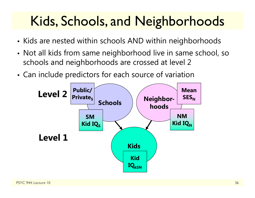## Kids, Schools, and Neighborhoods

- Kids are nested within schools AND within neighborhoods
- • Not all kids from same neighborhood live in same school, so schools and neighborhoods are crossed at level 2
- •Can include predictors for each source of variation

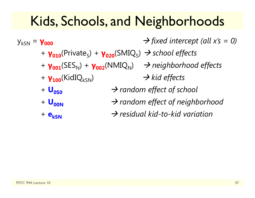### Kids, Schools, and Neighborhoods

ykSN <sup>=</sup> **γ000** *fixed intercept (all x's = 0)* + **γ010**(Private S) + **γ020**(SMIQ S) *school effects* + **γ001**(SES N) + **γ002**(NMIQ N) *neighborhood effects* + **γ<sub>100</sub>**(KidIQ<sub>kSN</sub>) **→ kid effects** + **U0S0** $\rightarrow$  random effect of school +  $\bf{U}_{00N}$  $\rightarrow$  random effect of neighborhood + **ekSN** $\rightarrow$  residual kid-to-kid variation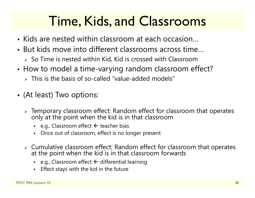## Time, Kids, and Classrooms

- Kids are nested within classroom at each occasion…
- But kids move into different classrooms across time…
	- $\triangleright$  So Time is nested within Kid, Kid is crossed with Classroom
- • How to model a time-varying random classroom effect?
	- $\triangleright$  This is the basis of so-called "value-added models"
- (At least) Two options:
	- $\triangleright$  Temporary classroom effect: Random effect for classroom that operates only at the point when the kid is in that classroom
		- e.g., Classroom effect  $\leftarrow$  teacher bias
		- Once out of classroom, effect is no longer present
	- Cumulative classroom effect: Random effect for classroom that operates at the point when the kid is in that classroom forwards
		- n • e.g., Classroom effect  $\Leftarrow$  differential learning
		- n Effect stays with the kid in the future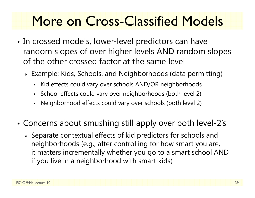## More on Cross-Classified Models

- • In crossed models, lower-level predictors can have random slopes of over higher levels AND random slopes of the other crossed factor at the same level
	- Example: Kids, Schools, and Neighborhoods (data permitting)
		- Kid effects could vary over schools AND/OR neighborhoods
		- School effects could vary over neighborhoods (both level 2)
		- Neighborhood effects could vary over schools (both level 2)
- • Concerns about smushing still apply over both level-2's
	- $\triangleright$  Separate contextual effects of kid predictors for schools and neighborhoods (e.g., after controlling for how smart you are, it matters incrementally whether you go to a smart school AND if you live in a neighborhood with smart kids)